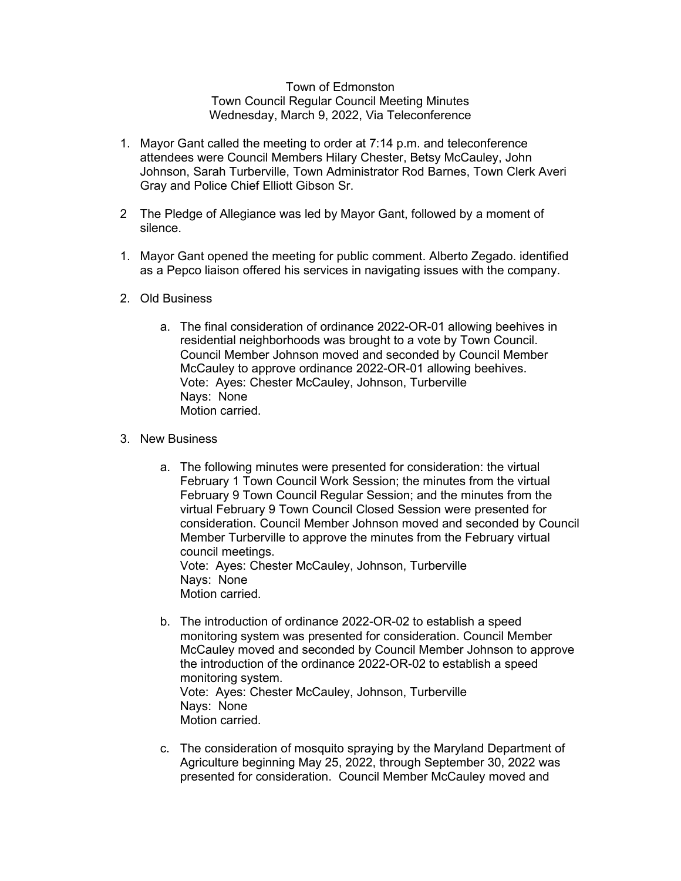## Town of Edmonston Town Council Regular Council Meeting Minutes Wednesday, March 9, 2022, Via Teleconference

- 1. Mayor Gant called the meeting to order at 7:14 p.m. and teleconference attendees were Council Members Hilary Chester, Betsy McCauley, John Johnson, Sarah Turberville, Town Administrator Rod Barnes, Town Clerk Averi Gray and Police Chief Elliott Gibson Sr.
- 2 The Pledge of Allegiance was led by Mayor Gant, followed by a moment of silence.
- 1. Mayor Gant opened the meeting for public comment. Alberto Zegado. identified as a Pepco liaison offered his services in navigating issues with the company.
- 2. Old Business
	- a. The final consideration of ordinance 2022-OR-01 allowing beehives in residential neighborhoods was brought to a vote by Town Council. Council Member Johnson moved and seconded by Council Member McCauley to approve ordinance 2022-OR-01 allowing beehives. Vote: Ayes: Chester McCauley, Johnson, Turberville Nays: None Motion carried.
- 3. New Business
	- a. The following minutes were presented for consideration: the virtual February 1 Town Council Work Session; the minutes from the virtual February 9 Town Council Regular Session; and the minutes from the virtual February 9 Town Council Closed Session were presented for consideration. Council Member Johnson moved and seconded by Council Member Turberville to approve the minutes from the February virtual council meetings.

Vote: Ayes: Chester McCauley, Johnson, Turberville Nays: None Motion carried.

- b. The introduction of ordinance 2022-OR-02 to establish a speed monitoring system was presented for consideration. Council Member McCauley moved and seconded by Council Member Johnson to approve the introduction of the ordinance 2022-OR-02 to establish a speed monitoring system. Vote: Ayes: Chester McCauley, Johnson, Turberville Nays: None Motion carried.
- c. The consideration of mosquito spraying by the Maryland Department of Agriculture beginning May 25, 2022, through September 30, 2022 was presented for consideration. Council Member McCauley moved and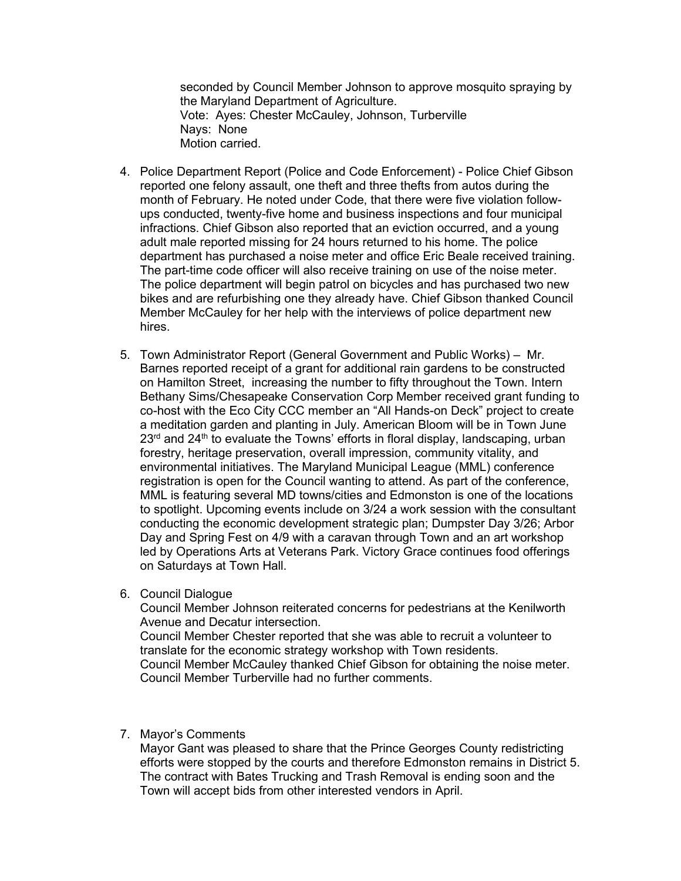seconded by Council Member Johnson to approve mosquito spraying by the Maryland Department of Agriculture. Vote: Ayes: Chester McCauley, Johnson, Turberville Nays: None Motion carried.

- 4. Police Department Report (Police and Code Enforcement) Police Chief Gibson reported one felony assault, one theft and three thefts from autos during the month of February. He noted under Code, that there were five violation followups conducted, twenty-five home and business inspections and four municipal infractions. Chief Gibson also reported that an eviction occurred, and a young adult male reported missing for 24 hours returned to his home. The police department has purchased a noise meter and office Eric Beale received training. The part-time code officer will also receive training on use of the noise meter. The police department will begin patrol on bicycles and has purchased two new bikes and are refurbishing one they already have. Chief Gibson thanked Council Member McCauley for her help with the interviews of police department new hires.
- 5. Town Administrator Report (General Government and Public Works) Mr. Barnes reported receipt of a grant for additional rain gardens to be constructed on Hamilton Street, increasing the number to fifty throughout the Town. Intern Bethany Sims/Chesapeake Conservation Corp Member received grant funding to co-host with the Eco City CCC member an "All Hands-on Deck" project to create a meditation garden and planting in July. American Bloom will be in Town June  $23<sup>rd</sup>$  and  $24<sup>th</sup>$  to evaluate the Towns' efforts in floral display, landscaping, urban forestry, heritage preservation, overall impression, community vitality, and environmental initiatives. The Maryland Municipal League (MML) conference registration is open for the Council wanting to attend. As part of the conference, MML is featuring several MD towns/cities and Edmonston is one of the locations to spotlight. Upcoming events include on 3/24 a work session with the consultant conducting the economic development strategic plan; Dumpster Day 3/26; Arbor Day and Spring Fest on 4/9 with a caravan through Town and an art workshop led by Operations Arts at Veterans Park. Victory Grace continues food offerings on Saturdays at Town Hall.
- 6. Council Dialogue

Council Member Johnson reiterated concerns for pedestrians at the Kenilworth Avenue and Decatur intersection. Council Member Chester reported that she was able to recruit a volunteer to translate for the economic strategy workshop with Town residents. Council Member McCauley thanked Chief Gibson for obtaining the noise meter. Council Member Turberville had no further comments.

7. Mayor's Comments

Mayor Gant was pleased to share that the Prince Georges County redistricting efforts were stopped by the courts and therefore Edmonston remains in District 5. The contract with Bates Trucking and Trash Removal is ending soon and the Town will accept bids from other interested vendors in April.